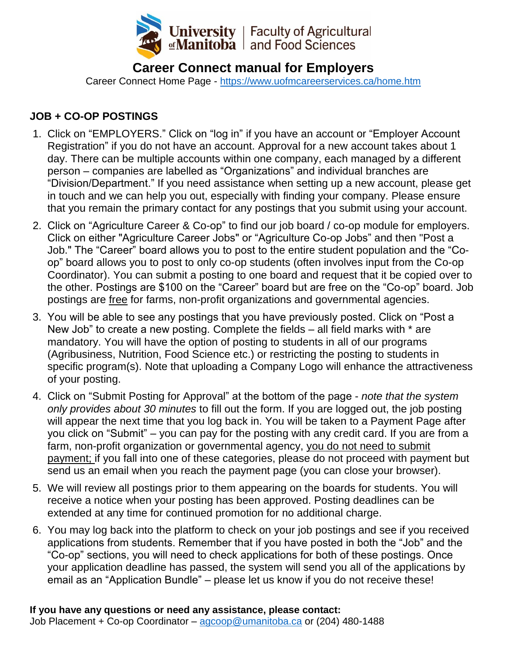

# **Career Connect manual for Employers**

Career Connect Home Page - <https://www.uofmcareerservices.ca/home.htm>

## **JOB + CO-OP POSTINGS**

- 1. Click on "EMPLOYERS." Click on "log in" if you have an account or "Employer Account Registration" if you do not have an account. Approval for a new account takes about 1 day. There can be multiple accounts within one company, each managed by a different person – companies are labelled as "Organizations" and individual branches are "Division/Department." If you need assistance when setting up a new account, please get in touch and we can help you out, especially with finding your company. Please ensure that you remain the primary contact for any postings that you submit using your account.
- 2. Click on "Agriculture Career & Co-op" to find our job board / co-op module for employers. Click on either "Agriculture Career Jobs" or "Agriculture Co-op Jobs" and then "Post a Job." The "Career" board allows you to post to the entire student population and the "Coop" board allows you to post to only co-op students (often involves input from the Co-op Coordinator). You can submit a posting to one board and request that it be copied over to the other. Postings are \$100 on the "Career" board but are free on the "Co-op" board. Job postings are free for farms, non-profit organizations and governmental agencies.
- 3. You will be able to see any postings that you have previously posted. Click on "Post a New Job" to create a new posting. Complete the fields – all field marks with \* are mandatory. You will have the option of posting to students in all of our programs (Agribusiness, Nutrition, Food Science etc.) or restricting the posting to students in specific program(s). Note that uploading a Company Logo will enhance the attractiveness of your posting.
- 4. Click on "Submit Posting for Approval" at the bottom of the page *note that the system only provides about 30 minutes* to fill out the form. If you are logged out, the job posting will appear the next time that you log back in. You will be taken to a Payment Page after you click on "Submit" – you can pay for the posting with any credit card. If you are from a farm, non-profit organization or governmental agency, you do not need to submit payment; if you fall into one of these categories, please do not proceed with payment but send us an email when you reach the payment page (you can close your browser).
- 5. We will review all postings prior to them appearing on the boards for students. You will receive a notice when your posting has been approved. Posting deadlines can be extended at any time for continued promotion for no additional charge.
- 6. You may log back into the platform to check on your job postings and see if you received applications from students. Remember that if you have posted in both the "Job" and the "Co-op" sections, you will need to check applications for both of these postings. Once your application deadline has passed, the system will send you all of the applications by email as an "Application Bundle" – please let us know if you do not receive these!